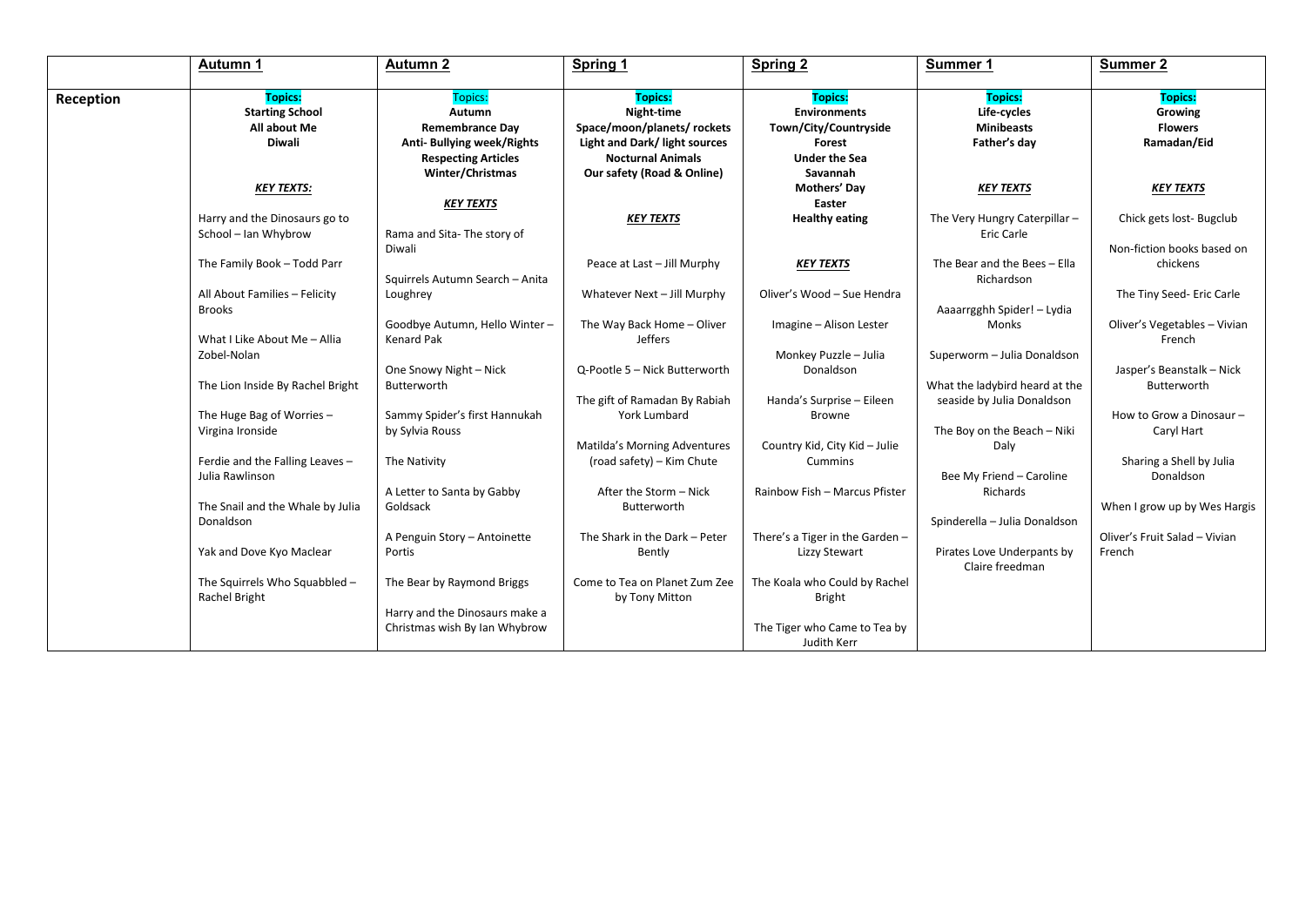|           | Autumn 1                                           | <b>Autumn 2</b>                 | Spring 1                      | Spring 2                              | Summer 1                       | <b>Summer 2</b>                              |
|-----------|----------------------------------------------------|---------------------------------|-------------------------------|---------------------------------------|--------------------------------|----------------------------------------------|
| Reception | <b>Topics:</b><br><b>Starting School</b>           | <b>Topics:</b><br>Autumn        | <b>Topics:</b><br>Night-time  | <b>Topics:</b><br><b>Environments</b> | <b>Topics:</b><br>Life-cycles  | <b>Topics:</b><br>Growing                    |
|           | All about Me                                       | <b>Remembrance Day</b>          | Space/moon/planets/ rockets   | Town/City/Countryside                 | <b>Minibeasts</b>              | <b>Flowers</b>                               |
|           | <b>Diwali</b>                                      | Anti- Bullying week/Rights      | Light and Dark/ light sources | Forest                                | Father's day                   | Ramadan/Eid                                  |
|           |                                                    | <b>Respecting Articles</b>      | <b>Nocturnal Animals</b>      | <b>Under the Sea</b>                  |                                |                                              |
|           |                                                    | Winter/Christmas                | Our safety (Road & Online)    | Savannah                              |                                |                                              |
|           | <b>KEY TEXTS:</b>                                  |                                 |                               | Mothers' Day                          | <b>KEY TEXTS</b>               | <b>KEY TEXTS</b>                             |
|           |                                                    | <b>KEY TEXTS</b>                |                               | Easter                                |                                |                                              |
|           | Harry and the Dinosaurs go to                      |                                 | <b>KEY TEXTS</b>              | <b>Healthy eating</b>                 | The Very Hungry Caterpillar -  | Chick gets lost-Bugclub                      |
|           | School - Ian Whybrow                               | Rama and Sita-The story of      |                               |                                       | Eric Carle                     |                                              |
|           |                                                    | Diwali                          |                               |                                       |                                | Non-fiction books based on                   |
|           | The Family Book - Todd Parr                        |                                 | Peace at Last - Jill Murphy   | <b>KEY TEXTS</b>                      | The Bear and the Bees - Ella   | chickens                                     |
|           |                                                    | Squirrels Autumn Search - Anita |                               |                                       | Richardson                     |                                              |
|           | All About Families - Felicity                      | Loughrey                        | Whatever Next - Jill Murphy   | Oliver's Wood - Sue Hendra            |                                | The Tiny Seed- Eric Carle                    |
|           | Brooks                                             |                                 |                               |                                       | Aaaarrgghh Spider! - Lydia     |                                              |
|           |                                                    | Goodbye Autumn, Hello Winter-   | The Way Back Home - Oliver    | Imagine - Alison Lester               | Monks                          | Oliver's Vegetables - Vivian                 |
|           | What I Like About Me - Allia                       | <b>Kenard Pak</b>               | Jeffers                       |                                       |                                | French                                       |
|           | Zobel-Nolan                                        |                                 |                               | Monkey Puzzle - Julia                 | Superworm - Julia Donaldson    |                                              |
|           |                                                    | One Snowy Night - Nick          | Q-Pootle 5 - Nick Butterworth | Donaldson                             |                                | Jasper's Beanstalk - Nick                    |
|           | The Lion Inside By Rachel Bright                   | Butterworth                     |                               |                                       | What the ladybird heard at the | Butterworth                                  |
|           |                                                    |                                 | The gift of Ramadan By Rabiah | Handa's Surprise - Eileen             | seaside by Julia Donaldson     |                                              |
|           | The Huge Bag of Worries -                          | Sammy Spider's first Hannukah   | York Lumbard                  | <b>Browne</b>                         |                                | How to Grow a Dinosaur -                     |
|           | Virgina Ironside                                   | by Sylvia Rouss                 |                               |                                       | The Boy on the Beach - Niki    | Caryl Hart                                   |
|           |                                                    |                                 | Matilda's Morning Adventures  | Country Kid, City Kid - Julie         | Daly                           |                                              |
|           | Ferdie and the Falling Leaves -<br>Julia Rawlinson | The Nativity                    | (road safety) - Kim Chute     | Cummins                               | Bee My Friend - Caroline       | Sharing a Shell by Julia<br><b>Donaldson</b> |
|           |                                                    | A Letter to Santa by Gabby      | After the Storm - Nick        | Rainbow Fish - Marcus Pfister         | Richards                       |                                              |
|           | The Snail and the Whale by Julia                   | Goldsack                        | Butterworth                   |                                       |                                | When I grow up by Wes Hargis                 |
|           | Donaldson                                          |                                 |                               |                                       | Spinderella - Julia Donaldson  |                                              |
|           |                                                    | A Penguin Story - Antoinette    | The Shark in the Dark - Peter | There's a Tiger in the Garden -       |                                | Oliver's Fruit Salad - Vivian                |
|           | Yak and Dove Kyo Maclear                           | Portis                          | Bently                        | Lizzy Stewart                         | Pirates Love Underpants by     | French                                       |
|           |                                                    |                                 |                               |                                       | Claire freedman                |                                              |
|           | The Squirrels Who Squabbled -                      | The Bear by Raymond Briggs      | Come to Tea on Planet Zum Zee | The Koala who Could by Rachel         |                                |                                              |
|           | Rachel Bright                                      |                                 | by Tony Mitton                | <b>Bright</b>                         |                                |                                              |
|           |                                                    | Harry and the Dinosaurs make a  |                               |                                       |                                |                                              |
|           |                                                    | Christmas wish By Ian Whybrow   |                               | The Tiger who Came to Tea by          |                                |                                              |
|           |                                                    |                                 |                               | Judith Kerr                           |                                |                                              |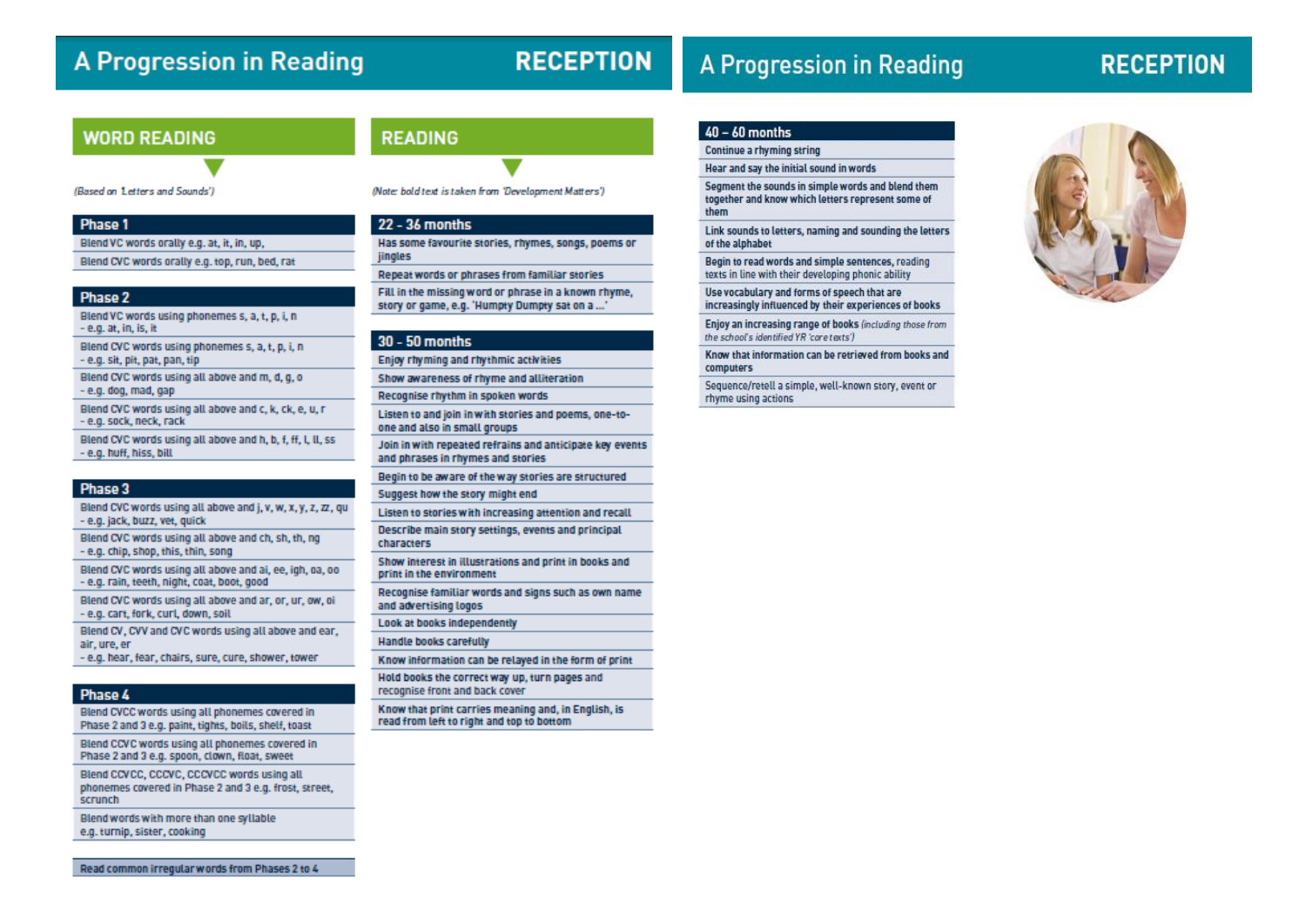## **A Progression in Reading**

## **RECEPTION**

## **A Progression in Reading**

## **RECEPTION**

## **WORD READING**

**READING** 

(Based on Letters and Sounds')

#### Phase 1

Blend VC words orally e.g. at, it, in, up,

Blend CVC words orally e.g. top, run, bed, rat

#### Phase 2

Blend VC words using phonemes s, a, t, p, i, n - e.g. at, in, is, it

Blend CVC words using phonemes s, a, t, p, i, n - e.g. sit, pit, pat, pan, tip Blend CVC words using all above and m, d, g, o

- e.g. dog, mad, gap

Blend CVC words using all above and c, k, ck, e, u, r - e.g. sock, neck, rack

Blend CVC words using all above and h, b, f, ff, l, ll, ss - e.g. huff, hiss, bill

#### Phase 3

Blend CVC words using all above and j, v, w, x, y, z, zz, qu - e.g. jack, buzz, vet, guick

Blend CVC words using all above and ch, sh, th, ng - e.g. chip, shop, this, thin, song

Blend CVC words using all above and ai, ee, igh, oa, oo - e.g. rain, teeth, night, coat, boot, good

Blend CVC words using all above and ar, or, ur, ow, oil - e.g. cart, fork, curl, down, soil

Blend CV, CVV and CVC words using all above and ear, air, ure, er

- e.g. hear, fear, chairs, sure, cure, shower, tower

### Phase 4

Blend CVCC words using all phonemes covered in Phase 2 and 3 e.g. paint, tights, boils, shelf, toast

Blend CCVC words using all phonemes covered in Phase 2 and 3 e.g. spoon, clown, float, sweet

Blend CCVCC, CCCVC, CCCVCC words using all phonemes covered in Phase 2 and 3 e.g. frost, street, scrunch

Blend words with more than one syllable e.g. turnip, sister, cooking

(Note: bold text is taken from 'Development Matters')

#### 22 - 36 months

Has some favourite stories, rhymes, songs, poems or jingles

Repeat words or phrases from familiar stories

Fill in the missing word or phrase in a known rhyme. story or game, e.g. 'Humpty Dumpty sat on a...

#### 30 - 50 months

Enjoy rhyming and rhythmic activities

Show awareness of rhyme and alliteration

Recognise rhythm in spoken words

Listen to and join in with stories and poems, one-toone and also in small groups

Join in with repeated refrains and anticipate key events and phrases in rhymes and stories

Begin to be aware of the way stories are structured Suggest how the story might end

Listen to stories with increasing attention and recall Describe main story settings, events and principal

characters

Show interest in illustrations and print in books and print in the environment

Recognise familiar words and signs such as own name and advertising logos

Look at books independently

**Handle books carefully** 

Know information can be relayed in the form of print

Hold books the correct way up, turn pages and recognise front and back cover

Know that print carries meaning and, in English, is read from left to right and top to bottom

### $40 - 60$  months

Continue a rhyming string

Hear and say the initial sound in words

Segment the sounds in simple words and blend them together and know which letters represent some of them

Link sounds to letters, naming and sounding the letters of the alphabet

Begin to read words and simple sentences, reading texts in line with their developing phonic ability

Use vocabulary and forms of speech that are increasingly influenced by their experiences of books

Enjoy an increasing range of books (including those from the school's identified YR 'core texts')

Know that information can be retrieved from books and computers

Sequence/retell a simple, well-known story, event or rhyme using actions